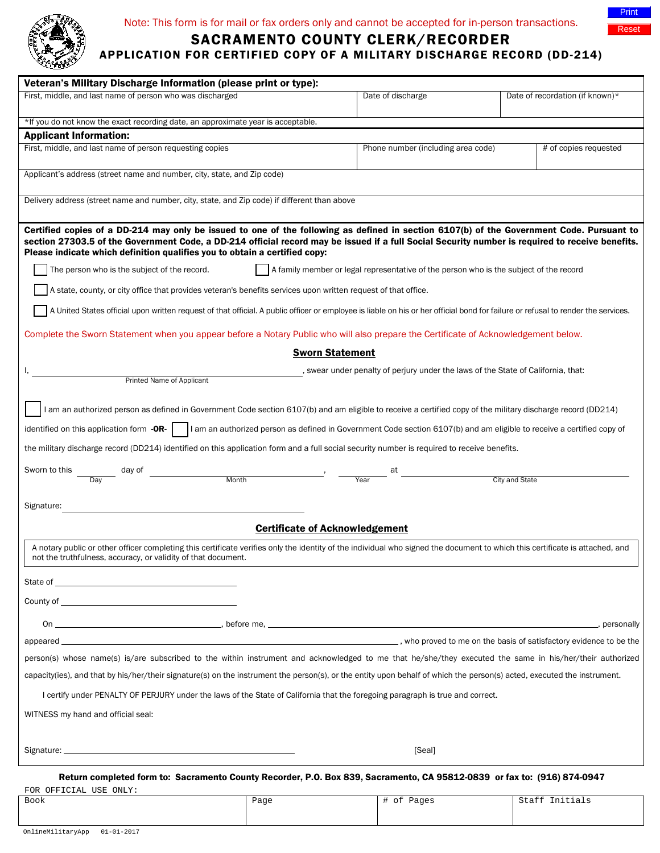

## Note: This form is for mail or fax orders only and cannot be accepted for in-person transactions.



## SACRAMENTO COUNTY CLERK/RECORDER

APPLICATION FOR CERTIFIED COPY OF A MILITARY DISCHARGE RECORD (DD-214)

| Veteran's Military Discharge Information (please print or type):                                                                                                                                                                                                                                                                                                            |      |                                    |                                 |
|-----------------------------------------------------------------------------------------------------------------------------------------------------------------------------------------------------------------------------------------------------------------------------------------------------------------------------------------------------------------------------|------|------------------------------------|---------------------------------|
| First, middle, and last name of person who was discharged                                                                                                                                                                                                                                                                                                                   |      | Date of discharge                  | Date of recordation (if known)* |
|                                                                                                                                                                                                                                                                                                                                                                             |      |                                    |                                 |
| *If you do not know the exact recording date, an approximate year is acceptable.                                                                                                                                                                                                                                                                                            |      |                                    |                                 |
| <b>Applicant Information:</b><br>First, middle, and last name of person requesting copies                                                                                                                                                                                                                                                                                   |      | Phone number (including area code) | # of copies requested           |
|                                                                                                                                                                                                                                                                                                                                                                             |      |                                    |                                 |
| Applicant's address (street name and number, city, state, and Zip code)                                                                                                                                                                                                                                                                                                     |      |                                    |                                 |
| Delivery address (street name and number, city, state, and Zip code) if different than above                                                                                                                                                                                                                                                                                |      |                                    |                                 |
| Certified copies of a DD-214 may only be issued to one of the following as defined in section 6107(b) of the Government Code. Pursuant to<br>section 27303.5 of the Government Code, a DD-214 official record may be issued if a full Social Security number is required to receive benefits.<br>Please indicate which definition qualifies you to obtain a certified copy: |      |                                    |                                 |
| A family member or legal representative of the person who is the subject of the record<br>The person who is the subject of the record.                                                                                                                                                                                                                                      |      |                                    |                                 |
| A state, county, or city office that provides veteran's benefits services upon written request of that office.                                                                                                                                                                                                                                                              |      |                                    |                                 |
| A United States official upon written request of that official. A public officer or employee is liable on his or her official bond for failure or refusal to render the services.                                                                                                                                                                                           |      |                                    |                                 |
| Complete the Sworn Statement when you appear before a Notary Public who will also prepare the Certificate of Acknowledgement below.                                                                                                                                                                                                                                         |      |                                    |                                 |
| <b>Sworn Statement</b>                                                                                                                                                                                                                                                                                                                                                      |      |                                    |                                 |
| , swear under penalty of perjury under the laws of the State of California, that:<br><b>Printed Name of Applicant</b>                                                                                                                                                                                                                                                       |      |                                    |                                 |
|                                                                                                                                                                                                                                                                                                                                                                             |      |                                    |                                 |
| I am an authorized person as defined in Government Code section 6107(b) and am eligible to receive a certified copy of the military discharge record (DD214)                                                                                                                                                                                                                |      |                                    |                                 |
| identified on this application form $-OR$ . $\Box$ I am an authorized person as defined in Government Code section 6107(b) and am eligible to receive a certified copy of                                                                                                                                                                                                   |      |                                    |                                 |
| the military discharge record (DD214) identified on this application form and a full social security number is required to receive benefits.                                                                                                                                                                                                                                |      |                                    |                                 |
| Sworn to this                                                                                                                                                                                                                                                                                                                                                               |      |                                    |                                 |
|                                                                                                                                                                                                                                                                                                                                                                             |      |                                    | City and State                  |
|                                                                                                                                                                                                                                                                                                                                                                             |      |                                    |                                 |
| Signature:                                                                                                                                                                                                                                                                                                                                                                  |      |                                    |                                 |
| <b>Certificate of Acknowledgement</b>                                                                                                                                                                                                                                                                                                                                       |      |                                    |                                 |
| A notary public or other officer completing this certificate verifies only the identity of the individual who signed the document to which this certificate is attached, and<br>not the truthfulness, accuracy, or validity of that document.                                                                                                                               |      |                                    |                                 |
| State of the state of the state of the state of the state of the state of the state of the state of the state of the state of the state of the state of the state of the state of the state of the state of the state of the s                                                                                                                                              |      |                                    |                                 |
|                                                                                                                                                                                                                                                                                                                                                                             |      |                                    |                                 |
| On $\qquad \qquad$ before me, $\qquad \qquad$ before the $\qquad \qquad$ .                                                                                                                                                                                                                                                                                                  |      |                                    | , personally                    |
|                                                                                                                                                                                                                                                                                                                                                                             |      |                                    |                                 |
| person(s) whose name(s) is/are subscribed to the within instrument and acknowledged to me that he/she/they executed the same in his/her/their authorized                                                                                                                                                                                                                    |      |                                    |                                 |
| capacity(ies), and that by his/her/their signature(s) on the instrument the person(s), or the entity upon behalf of which the person(s) acted, executed the instrument.                                                                                                                                                                                                     |      |                                    |                                 |
| I certify under PENALTY OF PERJURY under the laws of the State of California that the foregoing paragraph is true and correct.                                                                                                                                                                                                                                              |      |                                    |                                 |
|                                                                                                                                                                                                                                                                                                                                                                             |      |                                    |                                 |
| WITNESS my hand and official seal:                                                                                                                                                                                                                                                                                                                                          |      |                                    |                                 |
| Signature: the contract of the contract of the contract of the contract of the contract of the contract of the                                                                                                                                                                                                                                                              |      | [Seal]                             |                                 |
| Return completed form to: Sacramento County Recorder, P.O. Box 839, Sacramento, CA 95812-0839 or fax to: (916) 874-0947                                                                                                                                                                                                                                                     |      |                                    |                                 |
|                                                                                                                                                                                                                                                                                                                                                                             |      |                                    |                                 |
| FOR OFFICIAL USE ONLY:<br>Book                                                                                                                                                                                                                                                                                                                                              | Page | # of Pages                         | Staff Initials                  |